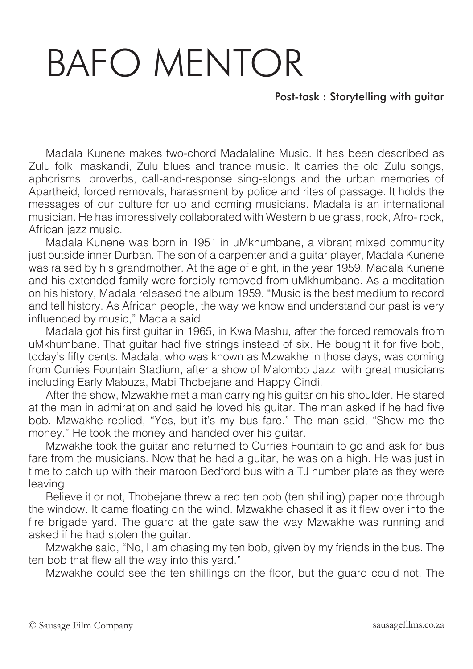## BAFO MENTOR

Post-task : Storytelling with guitar

Madala Kunene makes two-chord Madalaline Music. It has been described as Zulu folk, maskandi, Zulu blues and trance music. It carries the old Zulu songs, aphorisms, proverbs, call-and-response sing-alongs and the urban memories of Apartheid, forced removals, harassment by police and rites of passage. It holds the messages of our culture for up and coming musicians. Madala is an international musician. He has impressively collaborated with Western blue grass, rock, Afro- rock, African jazz music.

Madala Kunene was born in 1951 in uMkhumbane, a vibrant mixed community just outside inner Durban. The son of a carpenter and a guitar player, Madala Kunene was raised by his grandmother. At the age of eight, in the year 1959, Madala Kunene and his extended family were forcibly removed from uMkhumbane. As a meditation on his history, Madala released the album 1959. "Music is the best medium to record and tell history. As African people, the way we know and understand our past is very influenced by music," Madala said.

Madala got his first guitar in 1965, in Kwa Mashu, after the forced removals from uMkhumbane. That guitar had five strings instead of six. He bought it for five bob, today's fifty cents. Madala, who was known as Mzwakhe in those days, was coming from Curries Fountain Stadium, after a show of Malombo Jazz, with great musicians including Early Mabuza, Mabi Thobejane and Happy Cindi.

After the show, Mzwakhe met a man carrying his guitar on his shoulder. He stared at the man in admiration and said he loved his guitar. The man asked if he had five bob. Mzwakhe replied, "Yes, but it's my bus fare." The man said, "Show me the money." He took the money and handed over his guitar.

Mzwakhe took the guitar and returned to Curries Fountain to go and ask for bus fare from the musicians. Now that he had a guitar, he was on a high. He was just in time to catch up with their maroon Bedford bus with a TJ number plate as they were leaving.

Believe it or not, Thobejane threw a red ten bob (ten shilling) paper note through the window. It came floating on the wind. Mzwakhe chased it as it flew over into the fire brigade yard. The guard at the gate saw the way Mzwakhe was running and asked if he had stolen the guitar.

Mzwakhe said, "No, I am chasing my ten bob, given by my friends in the bus. The ten bob that flew all the way into this yard."

Mzwakhe could see the ten shillings on the floor, but the guard could not. The